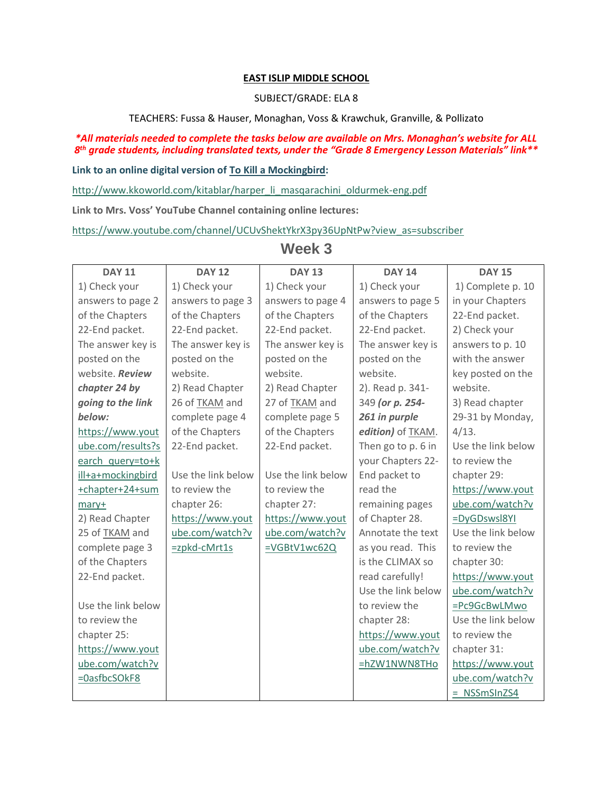## **EAST ISLIP MIDDLE SCHOOL**

#### SUBJECT/GRADE: ELA 8

TEACHERS: Fussa & Hauser, Monaghan, Voss & Krawchuk, Granville, & Pollizato

### *\*All materials needed to complete the tasks below are available on Mrs. Monaghan's website for ALL 8 th grade students, including translated texts, under the "Grade 8 Emergency Lesson Materials" link\*\**

#### **Link to an online digital version of To Kill a Mockingbird:**

[http://www.kkoworld.com/kitablar/harper\\_li\\_masqarachini\\_oldurmek-eng.pdf](http://www.kkoworld.com/kitablar/harper_li_masqarachini_oldurmek-eng.pdf)

**Link to Mrs. Voss' YouTube Channel containing online lectures:**

[https://www.youtube.com/channel/UCUvShektYkrX3py36UpNtPw?view\\_as=subscriber](https://www.youtube.com/channel/UCUvShektYkrX3py36UpNtPw?view_as=subscriber)

| <b>DAY 11</b>      | <b>DAY 12</b>      | <b>DAY 13</b>      | <b>DAY 14</b>      | <b>DAY 15</b>      |
|--------------------|--------------------|--------------------|--------------------|--------------------|
| 1) Check your      | 1) Check your      | 1) Check your      | 1) Check your      | 1) Complete p. 10  |
| answers to page 2  | answers to page 3  | answers to page 4  | answers to page 5  | in your Chapters   |
| of the Chapters    | of the Chapters    | of the Chapters    | of the Chapters    | 22-End packet.     |
| 22-End packet.     | 22-End packet.     | 22-End packet.     | 22-End packet.     | 2) Check your      |
| The answer key is  | The answer key is  | The answer key is  | The answer key is  | answers to p. 10   |
| posted on the      | posted on the      | posted on the      | posted on the      | with the answer    |
| website. Review    | website.           | website.           | website.           | key posted on the  |
| chapter 24 by      | 2) Read Chapter    | 2) Read Chapter    | 2). Read p. 341-   | website.           |
| going to the link  | 26 of TKAM and     | 27 of TKAM and     | 349 (or p. 254-    | 3) Read chapter    |
| below:             | complete page 4    | complete page 5    | 261 in purple      | 29-31 by Monday,   |
| https://www.yout   | of the Chapters    | of the Chapters    | edition) of TKAM.  | 4/13.              |
| ube.com/results?s  | 22-End packet.     | 22-End packet.     | Then go to p. 6 in | Use the link below |
| earch query=to+k   |                    |                    | your Chapters 22-  | to review the      |
| ill+a+mockingbird  | Use the link below | Use the link below | End packet to      | chapter 29:        |
| +chapter+24+sum    | to review the      | to review the      | read the           | https://www.yout   |
| mary+              | chapter 26:        | chapter 27:        | remaining pages    | ube.com/watch?v    |
| 2) Read Chapter    | https://www.yout   | https://www.yout   | of Chapter 28.     | =DyGDswsl8YI       |
| 25 of TKAM and     | ube.com/watch?v    | ube.com/watch?v    | Annotate the text  | Use the link below |
| complete page 3    | =zpkd-cMrt1s       | =VGBtV1wc62Q       | as you read. This  | to review the      |
| of the Chapters    |                    |                    | is the CLIMAX so   | chapter 30:        |
| 22-End packet.     |                    |                    | read carefully!    | https://www.yout   |
|                    |                    |                    | Use the link below | ube.com/watch?v    |
| Use the link below |                    |                    | to review the      | =Pc9GcBwLMwo       |
| to review the      |                    |                    | chapter 28:        | Use the link below |
| chapter 25:        |                    |                    | https://www.yout   | to review the      |
| https://www.yout   |                    |                    | ube.com/watch?v    | chapter 31:        |
| ube.com/watch?v    |                    |                    | =hZW1NWN8THo       | https://www.yout   |
| =0asfbcSOkF8       |                    |                    |                    | ube.com/watch?v    |
|                    |                    |                    |                    | $=$ NSSmSInZS4     |

# **Week 3**